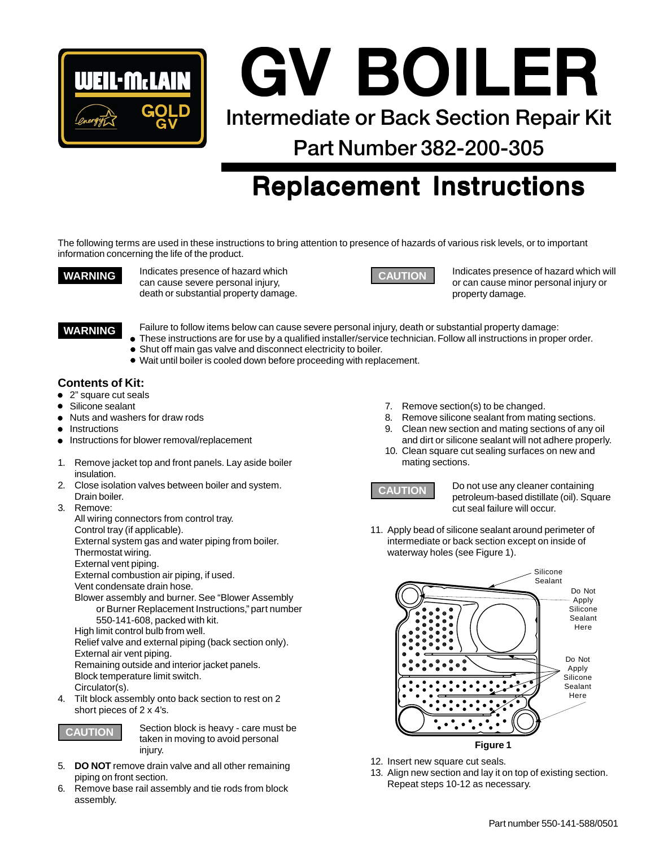

**Intermediate or Back Section Repair Kit GV BOILER GV BOILER GV BOILER**

**Part Number 382-200-305**

# **Replacement Instructions Replacement Instructions**

The following terms are used in these instructions to bring attention to presence of hazards of various risk levels, or to important information concerning the life of the product.

**WARNING** Indicates presence of hazard which can cause severe personal injury, death or substantial property damage.



**CAUTION** Indicates presence of hazard which will or can cause minor personal injury or property damage.

#### **WARNING**

Failure to follow items below can cause severe personal injury, death or substantial property damage:

- These instructions are for use by a qualified installer/service technician. Follow all instructions in proper order.
- Shut off main gas valve and disconnect electricity to boiler.
- Wait until boiler is cooled down before proceeding with replacement.

### **Contents of Kit:**

- 2" square cut seals
- Silicone sealant
- Nuts and washers for draw rods
- **Instructions**
- Instructions for blower removal/replacement
- 1. Remove jacket top and front panels. Lay aside boiler insulation.
- 2. Close isolation valves between boiler and system. Drain boiler.
- 3. Remove:

All wiring connectors from control tray. Control tray (if applicable). External system gas and water piping from boiler. Thermostat wiring. External vent piping. External combustion air piping, if used. Vent condensate drain hose. Blower assembly and burner. See "Blower Assembly or Burner Replacement Instructions," part number 550-141-608, packed with kit. High limit control bulb from well. Relief valve and external piping (back section only). External air vent piping. Remaining outside and interior jacket panels. Block temperature limit switch.

Circulator(s).

4. Tilt block assembly onto back section to rest on 2 short pieces of 2 x 4's.



**CAUTION** Section block is heavy - care must be taken in moving to avoid personal injury.

- 5. **DO NOT** remove drain valve and all other remaining piping on front section.
- 6. Remove base rail assembly and tie rods from block assembly.
- 7. Remove section(s) to be changed.
- 8. Remove silicone sealant from mating sections. 9. Clean new section and mating sections of any oil
- and dirt or silicone sealant will not adhere properly. 10. Clean square cut sealing surfaces on new and mating sections.



**CAUTION** Do not use any cleaner containing petroleum-based distillate (oil). Square cut seal failure will occur.

11. Apply bead of silicone sealant around perimeter of intermediate or back section except on inside of waterway holes (see Figure 1).



- 12. Insert new square cut seals.
- 13. Align new section and lay it on top of existing section. Repeat steps 10-12 as necessary.